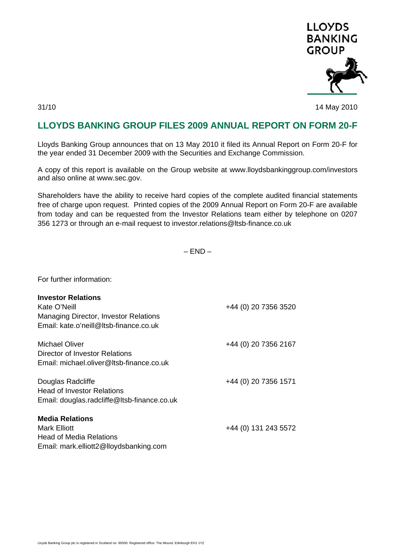

31/10 14 May 2010

## **LLOYDS BANKING GROUP FILES 2009 ANNUAL REPORT ON FORM 20-F**

Lloyds Banking Group announces that on 13 May 2010 it filed its Annual Report on Form 20-F for the year ended 31 December 2009 with the Securities and Exchange Commission.

A copy of this report is available on the Group website at www.lloydsbankinggroup.com/investors and also online at www.sec.gov.

Shareholders have the ability to receive hard copies of the complete audited financial statements free of charge upon request. Printed copies of the 2009 Annual Report on Form 20-F are available from today and can be requested from the Investor Relations team either by telephone on 0207 356 1273 or through an e-mail request to investor.relations@ltsb-finance.co.uk

 $-$  END  $-$ 

For further information:

| <b>Investor Relations</b><br>Kate O'Neill<br><b>Managing Director, Investor Relations</b><br>Email: kate.o'neill@ltsb-finance.co.uk | +44 (0) 20 7356 3520 |
|-------------------------------------------------------------------------------------------------------------------------------------|----------------------|
| <b>Michael Oliver</b><br>Director of Investor Relations<br>Email: michael.oliver@ltsb-finance.co.uk                                 | +44 (0) 20 7356 2167 |
| Douglas Radcliffe<br><b>Head of Investor Relations</b><br>Email: douglas.radcliffe@ltsb-finance.co.uk                               | +44 (0) 20 7356 1571 |
| <b>Media Relations</b><br>Mark Elliott<br><b>Head of Media Relations</b><br>Email: mark.elliott2@lloydsbanking.com                  | +44 (0) 131 243 5572 |